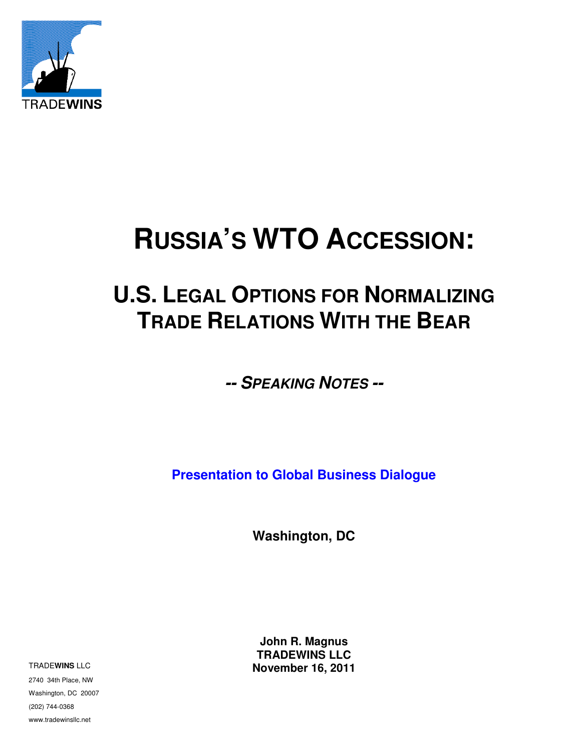

# **RUSSIA'S WTO ACCESSION:**

## **U.S. LEGAL OPTIONS FOR NORMALIZING TRADE RELATIONS WITH THE BEAR**

**-- SPEAKING NOTES --** 

**Presentation to Global Business Dialogue** 

**Washington, DC**

**John R. Magnus TRADEWINS LLC November 16, 2011**

TRADE**WINS** LLC

2740 34th Place, NW Washington, DC 20007 (202) 744-0368 www.tradewinsllc.net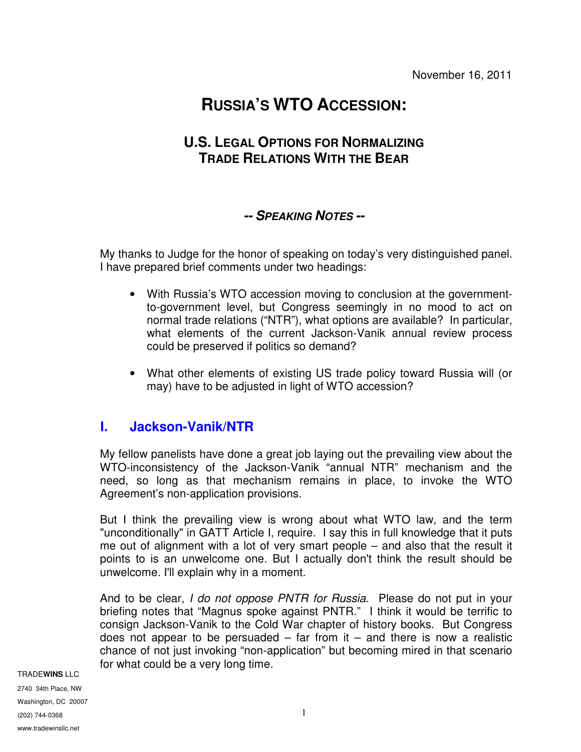### **RUSSIA'S WTO ACCESSION:**

#### **U.S. LEGAL OPTIONS FOR NORMALIZING TRADE RELATIONS WITH THE BEAR**

#### **-- SPEAKING NOTES --**

My thanks to Judge for the honor of speaking on today's very distinguished panel. I have prepared brief comments under two headings:

- With Russia's WTO accession moving to conclusion at the governmentto-government level, but Congress seemingly in no mood to act on normal trade relations ("NTR"), what options are available? In particular, what elements of the current Jackson-Vanik annual review process could be preserved if politics so demand?
- What other elements of existing US trade policy toward Russia will (or may) have to be adjusted in light of WTO accession?

#### **I. Jackson-Vanik/NTR**

My fellow panelists have done a great job laying out the prevailing view about the WTO-inconsistency of the Jackson-Vanik "annual NTR" mechanism and the need, so long as that mechanism remains in place, to invoke the WTO Agreement's non-application provisions.

But I think the prevailing view is wrong about what WTO law, and the term "unconditionally" in GATT Article I, require. I say this in full knowledge that it puts me out of alignment with a lot of very smart people – and also that the result it points to is an unwelcome one. But I actually don't think the result should be unwelcome. I'll explain why in a moment.

And to be clear, I do not oppose PNTR for Russia. Please do not put in your briefing notes that "Magnus spoke against PNTR." I think it would be terrific to consign Jackson-Vanik to the Cold War chapter of history books. But Congress does not appear to be persuaded  $-$  far from it  $-$  and there is now a realistic chance of not just invoking "non-application" but becoming mired in that scenario for what could be a very long time.

TRADE**WINS** LLC

2740 34th Place, NW Washington, DC 20007 (202) 744-0368 www.tradewinsllc.net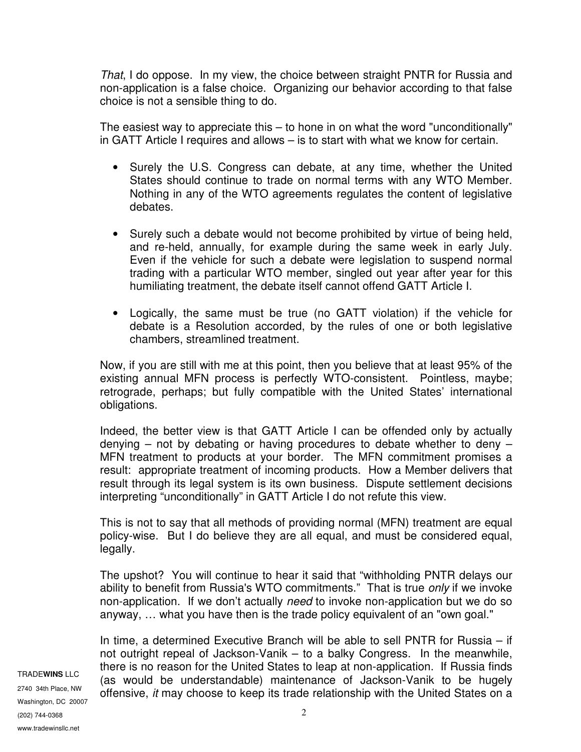That, I do oppose. In my view, the choice between straight PNTR for Russia and non-application is a false choice. Organizing our behavior according to that false choice is not a sensible thing to do.

The easiest way to appreciate this – to hone in on what the word "unconditionally" in GATT Article I requires and allows – is to start with what we know for certain.

- Surely the U.S. Congress can debate, at any time, whether the United States should continue to trade on normal terms with any WTO Member. Nothing in any of the WTO agreements regulates the content of legislative debates.
- Surely such a debate would not become prohibited by virtue of being held, and re-held, annually, for example during the same week in early July. Even if the vehicle for such a debate were legislation to suspend normal trading with a particular WTO member, singled out year after year for this humiliating treatment, the debate itself cannot offend GATT Article I.
- Logically, the same must be true (no GATT violation) if the vehicle for debate is a Resolution accorded, by the rules of one or both legislative chambers, streamlined treatment.

Now, if you are still with me at this point, then you believe that at least 95% of the existing annual MFN process is perfectly WTO-consistent. Pointless, maybe; retrograde, perhaps; but fully compatible with the United States' international obligations.

Indeed, the better view is that GATT Article I can be offended only by actually denying – not by debating or having procedures to debate whether to deny – MFN treatment to products at your border. The MFN commitment promises a result: appropriate treatment of incoming products. How a Member delivers that result through its legal system is its own business. Dispute settlement decisions interpreting "unconditionally" in GATT Article I do not refute this view.

This is not to say that all methods of providing normal (MFN) treatment are equal policy-wise. But I do believe they are all equal, and must be considered equal, legally.

The upshot? You will continue to hear it said that "withholding PNTR delays our ability to benefit from Russia's WTO commitments." That is true only if we invoke non-application. If we don't actually need to invoke non-application but we do so anyway, … what you have then is the trade policy equivalent of an "own goal."

TRADE**WINS** LLC 2740 34th Place, NW Washington, DC 20007 (202) 744-0368 www.tradewinsllc.net

In time, a determined Executive Branch will be able to sell PNTR for Russia – if not outright repeal of Jackson-Vanik – to a balky Congress. In the meanwhile, there is no reason for the United States to leap at non-application. If Russia finds (as would be understandable) maintenance of Jackson-Vanik to be hugely offensive, it may choose to keep its trade relationship with the United States on a